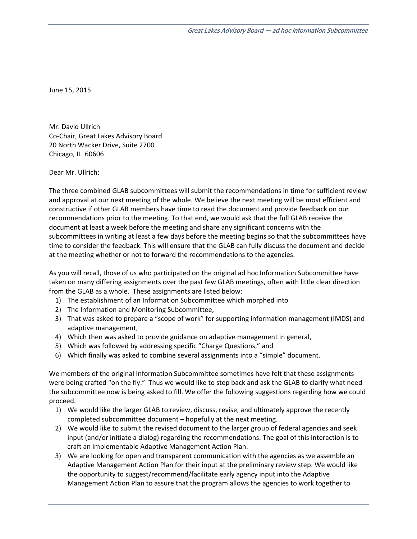June 15, 2015

Mr. David Ullrich Co‐Chair, Great Lakes Advisory Board 20 North Wacker Drive, Suite 2700 Chicago, IL 60606

Dear Mr. Ullrich:

The three combined GLAB subcommittees will submit the recommendations in time for sufficient review and approval at our next meeting of the whole. We believe the next meeting will be most efficient and constructive if other GLAB members have time to read the document and provide feedback on our recommendations prior to the meeting. To that end, we would ask that the full GLAB receive the document at least a week before the meeting and share any significant concerns with the subcommittees in writing at least a few days before the meeting begins so that the subcommittees have time to consider the feedback. This will ensure that the GLAB can fully discuss the document and decide at the meeting whether or not to forward the recommendations to the agencies.

As you will recall, those of us who participated on the original ad hoc Information Subcommittee have taken on many differing assignments over the past few GLAB meetings, often with little clear direction from the GLAB as a whole. These assignments are listed below:

- 1) The establishment of an Information Subcommittee which morphed into
- 2) The Information and Monitoring Subcommittee,
- 3) That was asked to prepare a "scope of work" for supporting information management (IMDS) and adaptive management,
- 4) Which then was asked to provide guidance on adaptive management in general,
- 5) Which was followed by addressing specific "Charge Questions," and
- 6) Which finally was asked to combine several assignments into a "simple" document.

We members of the original Information Subcommittee sometimes have felt that these assignments were being crafted "on the fly." Thus we would like to step back and ask the GLAB to clarify what need the subcommittee now is being asked to fill. We offer the following suggestions regarding how we could proceed.

- 1) We would like the larger GLAB to review, discuss, revise, and ultimately approve the recently completed subcommittee document – hopefully at the next meeting.
- 2) We would like to submit the revised document to the larger group of federal agencies and seek input (and/or initiate a dialog) regarding the recommendations. The goal of this interaction is to craft an implementable Adaptive Management Action Plan.
- 3) We are looking for open and transparent communication with the agencies as we assemble an Adaptive Management Action Plan for their input at the preliminary review step. We would like the opportunity to suggest/recommend/facilitate early agency input into the Adaptive Management Action Plan to assure that the program allows the agencies to work together to